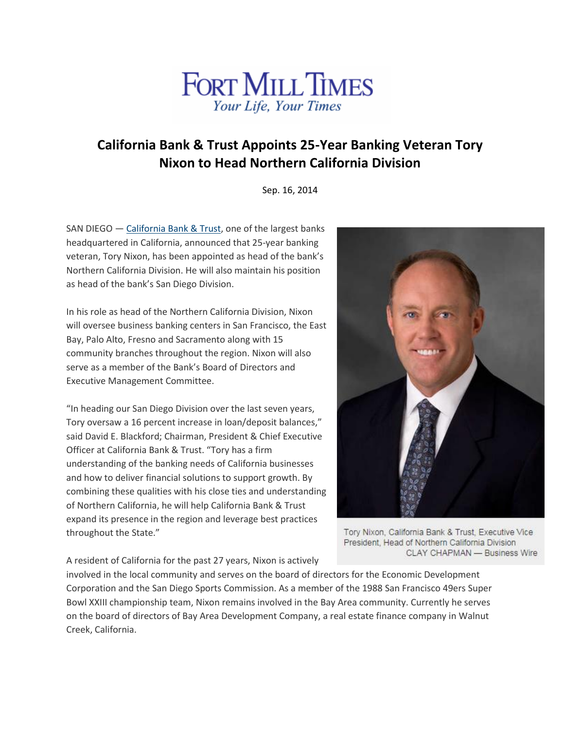

## **California Bank & Trust Appoints 25-Year Banking Veteran Tory Nixon to Head Northern California Division**

Sep. 16, 2014

SAN DIEGO — [California](http://cts.businesswire.com/ct/CT?id=smartlink&url=https%3A%2F%2Fwww.calbanktrust.com%2F&esheet=50943074&newsitemid=20140916005256&lan=en-US&anchor=California+Bank+%26+Trust&index=1&md5=a90f0d310c096ff9e25e55755d4c6d8e) Bank & Trust, one of the largest banks headquartered in California, announced that 25-year banking veteran, Tory Nixon, has been appointed as head of the bank's Northern California Division. He will also maintain his position as head of the bank's San Diego Division.

In his role as head of the Northern California Division, Nixon will oversee business banking centers in San Francisco, the East Bay, Palo Alto, Fresno and Sacramento along with 15 community branches throughout the region. Nixon will also serve as a member of the Bank's Board of Directors and Executive Management Committee.

"In heading our San Diego Division over the last seven years, Tory oversaw a 16 percent increase in loan/deposit balances," said David E. Blackford; Chairman, President & Chief Executive Officer at California Bank & Trust. "Tory has a firm understanding of the banking needs of California businesses and how to deliver financial solutions to support growth. By combining these qualities with his close ties and understanding of Northern California, he will help California Bank & Trust expand its presence in the region and leverage best practices throughout the State."



Tory Nixon, California Bank & Trust, Executive Vice President, Head of Northern California Division CLAY CHAPMAN - Business Wire

A resident of California for the past 27 years, Nixon is actively

involved in the local community and serves on the board of directors for the Economic Development Corporation and the San Diego Sports Commission. As a member of the 1988 San Francisco 49ers Super Bowl XXIII championship team, Nixon remains involved in the Bay Area community. Currently he serves on the board of directors of Bay Area Development Company, a real estate finance company in Walnut Creek, California.